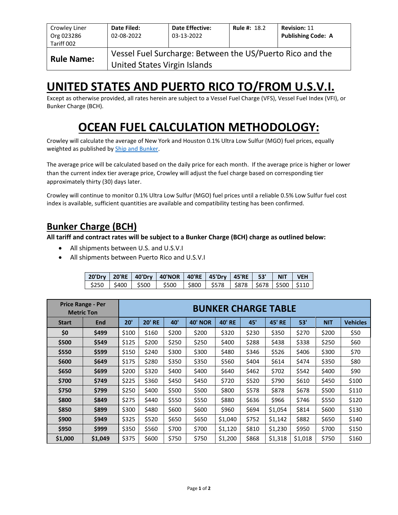| Crowley Liner<br>Org 023286<br>Tariff 002 | Date Filed:<br>02-08-2022                                                                 | <b>Date Effective:</b><br>03-13-2022 | <b>Rule #: 18.2</b> | <b>Revision: 11</b><br><b>Publishing Code: A</b> |  |  |  |  |  |
|-------------------------------------------|-------------------------------------------------------------------------------------------|--------------------------------------|---------------------|--------------------------------------------------|--|--|--|--|--|
| <b>Rule Name:</b>                         | Vessel Fuel Surcharge: Between the US/Puerto Rico and the<br>United States Virgin Islands |                                      |                     |                                                  |  |  |  |  |  |

## **UNITED STATES AND PUERTO RICO TO/FROM U.S.V.I.**

Except as otherwise provided, all rates herein are subject to a Vessel Fuel Charge (VFS), Vessel Fuel Index (VFI), or Bunker Charge (BCH).

# **OCEAN FUEL CALCULATION METHODOLOGY:**

Crowley will calculate the average of New York and Houston 0.1% Ultra Low Sulfur (MGO) fuel prices, equally weighted as published by [Ship and Bunker.](https://shipandbunker.com/)

The average price will be calculated based on the daily price for each month. If the average price is higher or lower than the current index tier average price, Crowley will adjust the fuel charge based on corresponding tier approximately thirty (30) days later.

Crowley will continue to monitor 0.1% Ultra Low Sulfur (MGO) fuel prices until a reliable 0.5% Low Sulfur fuel cost index is available, sufficient quantities are available and compatibility testing has been confirmed.

## **Bunker Charge (BCH)**

**All tariff and contract rates will be subject to a Bunker Charge (BCH) charge as outlined below:**

- All shipments between U.S. and U.S.V.I
- All shipments between Puerto Rico and U.S.V.I

|  | 20'Dry   20'RE   40'Dry   40'NOR   40'RE   45'Dry   45'RE   53'   NIT   VEH   |  |  |  |
|--|-------------------------------------------------------------------------------|--|--|--|
|  | \$250   \$400   \$500   \$500   \$800   \$578   \$878   \$678   \$500   \$110 |  |  |  |

|              | <b>Price Range - Per</b><br><b>Metric Ton</b> | <b>BUNKER CHARGE TABLE</b> |               |       |                |               |       |               |         |            |                 |
|--------------|-----------------------------------------------|----------------------------|---------------|-------|----------------|---------------|-------|---------------|---------|------------|-----------------|
| <b>Start</b> | End                                           | 20'                        | <b>20' RE</b> | 40'   | <b>40' NOR</b> | <b>40' RE</b> | 45'   | <b>45' RE</b> | 53'     | <b>NIT</b> | <b>Vehicles</b> |
| \$0          | \$499                                         | \$100                      | \$160         | \$200 | \$200          | \$320         | \$230 | \$350         | \$270   | \$200      | \$50            |
| \$500        | \$549                                         | \$125                      | \$200         | \$250 | \$250          | \$400         | \$288 | \$438         | \$338   | \$250      | \$60            |
| \$550        | \$599                                         | \$150                      | \$240         | \$300 | \$300          | \$480         | \$346 | \$526         | \$406   | \$300      | \$70            |
| \$600        | \$649                                         | \$175                      | \$280         | \$350 | \$350          | \$560         | \$404 | \$614         | \$474   | \$350      | \$80            |
| \$650        | \$699                                         | \$200                      | \$320         | \$400 | \$400          | \$640         | \$462 | \$702         | \$542   | \$400      | \$90            |
| \$700        | \$749                                         | \$225                      | \$360         | \$450 | \$450          | \$720         | \$520 | \$790         | \$610   | \$450      | \$100           |
| \$750        | \$799                                         | \$250                      | \$400         | \$500 | \$500          | \$800         | \$578 | \$878         | \$678   | \$500      | \$110           |
| \$800        | \$849                                         | \$275                      | \$440         | \$550 | \$550          | \$880         | \$636 | \$966         | \$746   | \$550      | \$120           |
| \$850        | \$899                                         | \$300                      | \$480         | \$600 | \$600          | \$960         | \$694 | \$1,054       | \$814   | \$600      | \$130           |
| \$900        | \$949                                         | \$325                      | \$520         | \$650 | \$650          | \$1,040       | \$752 | \$1,142       | \$882   | \$650      | \$140           |
| \$950        | \$999                                         | \$350                      | \$560         | \$700 | \$700          | \$1,120       | \$810 | \$1,230       | \$950   | \$700      | \$150           |
| \$1,000      | \$1,049                                       | \$375                      | \$600         | \$750 | \$750          | \$1,200       | \$868 | \$1,318       | \$1,018 | \$750      | \$160           |